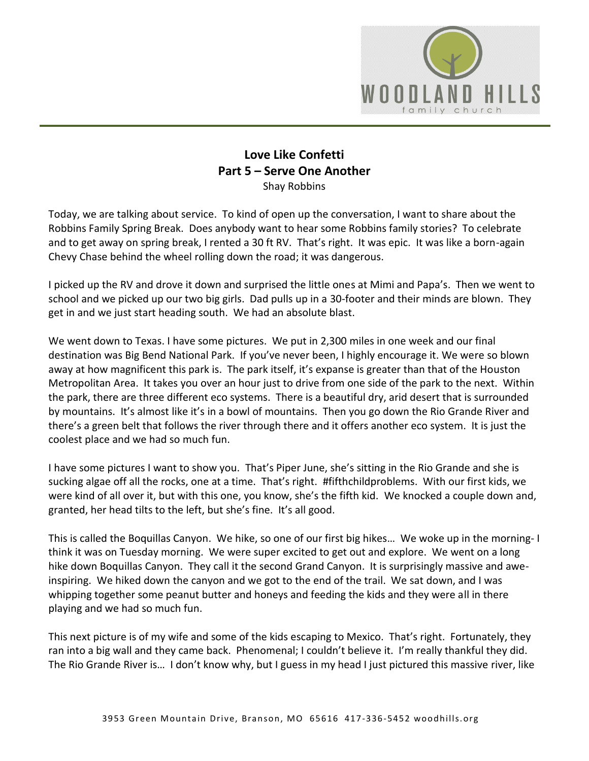

## **Love Like Confetti Part 5 – Serve One Another** Shay Robbins

Today, we are talking about service. To kind of open up the conversation, I want to share about the Robbins Family Spring Break. Does anybody want to hear some Robbins family stories? To celebrate and to get away on spring break, I rented a 30 ft RV. That's right. It was epic. It was like a born-again Chevy Chase behind the wheel rolling down the road; it was dangerous.

I picked up the RV and drove it down and surprised the little ones at Mimi and Papa's. Then we went to school and we picked up our two big girls. Dad pulls up in a 30-footer and their minds are blown. They get in and we just start heading south. We had an absolute blast.

We went down to Texas. I have some pictures. We put in 2,300 miles in one week and our final destination was Big Bend National Park. If you've never been, I highly encourage it. We were so blown away at how magnificent this park is. The park itself, it's expanse is greater than that of the Houston Metropolitan Area. It takes you over an hour just to drive from one side of the park to the next. Within the park, there are three different eco systems. There is a beautiful dry, arid desert that is surrounded by mountains. It's almost like it's in a bowl of mountains. Then you go down the Rio Grande River and there's a green belt that follows the river through there and it offers another eco system. It is just the coolest place and we had so much fun.

I have some pictures I want to show you. That's Piper June, she's sitting in the Rio Grande and she is sucking algae off all the rocks, one at a time. That's right. #fifthchildproblems. With our first kids, we were kind of all over it, but with this one, you know, she's the fifth kid. We knocked a couple down and, granted, her head tilts to the left, but she's fine. It's all good.

This is called the Boquillas Canyon. We hike, so one of our first big hikes… We woke up in the morning- I think it was on Tuesday morning. We were super excited to get out and explore. We went on a long hike down Boquillas Canyon. They call it the second Grand Canyon. It is surprisingly massive and aweinspiring. We hiked down the canyon and we got to the end of the trail. We sat down, and I was whipping together some peanut butter and honeys and feeding the kids and they were all in there playing and we had so much fun.

This next picture is of my wife and some of the kids escaping to Mexico. That's right. Fortunately, they ran into a big wall and they came back. Phenomenal; I couldn't believe it. I'm really thankful they did. The Rio Grande River is… I don't know why, but I guess in my head I just pictured this massive river, like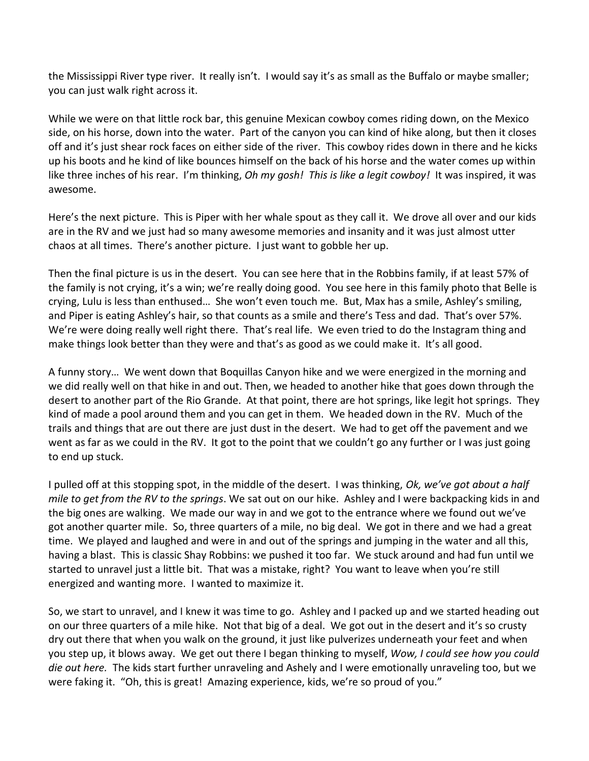the Mississippi River type river. It really isn't. I would say it's as small as the Buffalo or maybe smaller; you can just walk right across it.

While we were on that little rock bar, this genuine Mexican cowboy comes riding down, on the Mexico side, on his horse, down into the water. Part of the canyon you can kind of hike along, but then it closes off and it's just shear rock faces on either side of the river. This cowboy rides down in there and he kicks up his boots and he kind of like bounces himself on the back of his horse and the water comes up within like three inches of his rear. I'm thinking, *Oh my gosh! This is like a legit cowboy!* It was inspired, it was awesome.

Here's the next picture. This is Piper with her whale spout as they call it. We drove all over and our kids are in the RV and we just had so many awesome memories and insanity and it was just almost utter chaos at all times. There's another picture. I just want to gobble her up.

Then the final picture is us in the desert. You can see here that in the Robbins family, if at least 57% of the family is not crying, it's a win; we're really doing good. You see here in this family photo that Belle is crying, Lulu is less than enthused… She won't even touch me. But, Max has a smile, Ashley's smiling, and Piper is eating Ashley's hair, so that counts as a smile and there's Tess and dad. That's over 57%. We're were doing really well right there. That's real life. We even tried to do the Instagram thing and make things look better than they were and that's as good as we could make it. It's all good.

A funny story… We went down that Boquillas Canyon hike and we were energized in the morning and we did really well on that hike in and out. Then, we headed to another hike that goes down through the desert to another part of the Rio Grande. At that point, there are hot springs, like legit hot springs. They kind of made a pool around them and you can get in them. We headed down in the RV. Much of the trails and things that are out there are just dust in the desert. We had to get off the pavement and we went as far as we could in the RV. It got to the point that we couldn't go any further or I was just going to end up stuck.

I pulled off at this stopping spot, in the middle of the desert. I was thinking, *Ok, we've got about a half mile to get from the RV to the springs*. We sat out on our hike. Ashley and I were backpacking kids in and the big ones are walking. We made our way in and we got to the entrance where we found out we've got another quarter mile. So, three quarters of a mile, no big deal. We got in there and we had a great time. We played and laughed and were in and out of the springs and jumping in the water and all this, having a blast. This is classic Shay Robbins: we pushed it too far. We stuck around and had fun until we started to unravel just a little bit. That was a mistake, right? You want to leave when you're still energized and wanting more. I wanted to maximize it.

So, we start to unravel, and I knew it was time to go. Ashley and I packed up and we started heading out on our three quarters of a mile hike. Not that big of a deal. We got out in the desert and it's so crusty dry out there that when you walk on the ground, it just like pulverizes underneath your feet and when you step up, it blows away. We get out there I began thinking to myself, *Wow, I could see how you could die out here.* The kids start further unraveling and Ashely and I were emotionally unraveling too, but we were faking it. "Oh, this is great! Amazing experience, kids, we're so proud of you."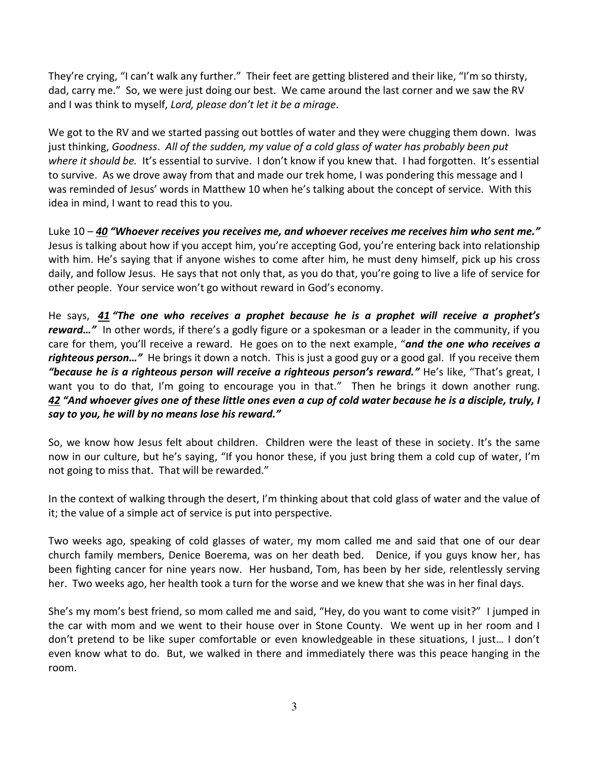They're crying, "I can't walk any further." Their feet are getting blistered and their like, "I'm so thirsty, dad, carry me." So, we were just doing our best. We came around the last corner and we saw the RV and I was think to myself, *Lord, please don't let it be a mirage*.

We got to the RV and we started passing out bottles of water and they were chugging them down. Iwas just thinking, *Goodness*. *All of the sudden, my value of a cold glass of water has probably been put where it should be.* It's essential to survive. I don't know if you knew that. I had forgotten. It's essential to survive. As we drove away from that and made our trek home, I was pondering this message and I was reminded of Jesus' words in Matthew 10 when he's talking about the concept of service. With this idea in mind, I want to read this to you.

Luke 10 – *[40](https://www.studylight.org/desk/?q=mt%2010:40&t1=en_esv&sr=1) "Whoever receives you receives me, and whoever receives me receives him who sent me."* Jesus is talking about how if you accept him, you're accepting God, you're entering back into relationship with him. He's saying that if anyone wishes to come after him, he must deny himself, pick up his cross daily, and follow Jesus. He says that not only that, as you do that, you're going to live a life of service for other people. Your service won't go without reward in God's economy.

He says, *[41](https://www.studylight.org/desk/?q=mt%2010:41&t1=en_esv&sr=1) "The one who receives a prophet because he is a prophet will receive a prophet's reward…"* In other words, if there's a godly figure or a spokesman or a leader in the community, if you care for them, you'll receive a reward. He goes on to the next example, "*and the one who receives a righteous person…"* He brings it down a notch. This is just a good guy or a good gal. If you receive them *"because he is a righteous person will receive a righteous person's reward."* He's like, "That's great, I want you to do that, I'm going to encourage you in that." Then he brings it down another rung. *[42](https://www.studylight.org/desk/?q=mt%2010:42&t1=en_esv&sr=1) "And whoever gives one of these little ones even a cup of cold water because he is a disciple, truly, I say to you, he will by no means lose his reward."*

So, we know how Jesus felt about children. Children were the least of these in society. It's the same now in our culture, but he's saying, "If you honor these, if you just bring them a cold cup of water, I'm not going to miss that. That will be rewarded."

In the context of walking through the desert, I'm thinking about that cold glass of water and the value of it; the value of a simple act of service is put into perspective.

Two weeks ago, speaking of cold glasses of water, my mom called me and said that one of our dear church family members, Denice Boerema, was on her death bed. Denice, if you guys know her, has been fighting cancer for nine years now. Her husband, Tom, has been by her side, relentlessly serving her. Two weeks ago, her health took a turn for the worse and we knew that she was in her final days.

She's my mom's best friend, so mom called me and said, "Hey, do you want to come visit?" I jumped in the car with mom and we went to their house over in Stone County. We went up in her room and I don't pretend to be like super comfortable or even knowledgeable in these situations, I just… I don't even know what to do. But, we walked in there and immediately there was this peace hanging in the room.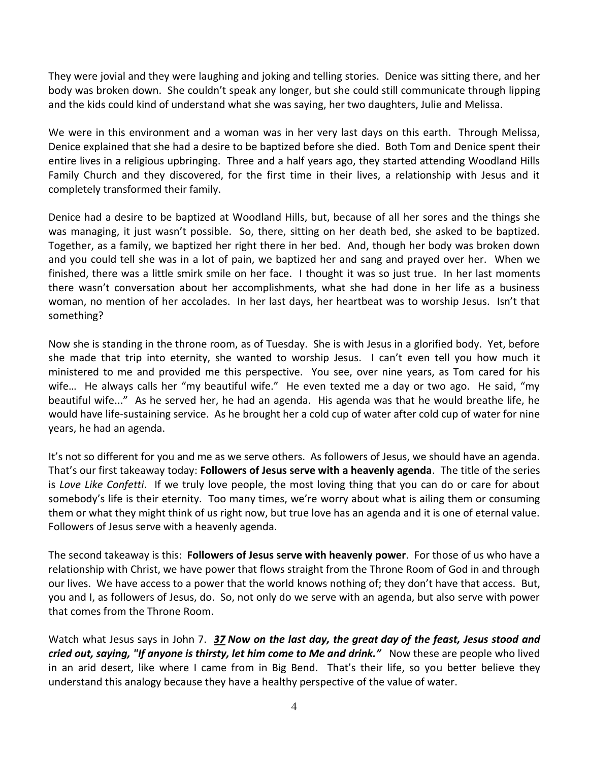They were jovial and they were laughing and joking and telling stories. Denice was sitting there, and her body was broken down. She couldn't speak any longer, but she could still communicate through lipping and the kids could kind of understand what she was saying, her two daughters, Julie and Melissa.

We were in this environment and a woman was in her very last days on this earth. Through Melissa, Denice explained that she had a desire to be baptized before she died. Both Tom and Denice spent their entire lives in a religious upbringing. Three and a half years ago, they started attending Woodland Hills Family Church and they discovered, for the first time in their lives, a relationship with Jesus and it completely transformed their family.

Denice had a desire to be baptized at Woodland Hills, but, because of all her sores and the things she was managing, it just wasn't possible. So, there, sitting on her death bed, she asked to be baptized. Together, as a family, we baptized her right there in her bed. And, though her body was broken down and you could tell she was in a lot of pain, we baptized her and sang and prayed over her. When we finished, there was a little smirk smile on her face. I thought it was so just true. In her last moments there wasn't conversation about her accomplishments, what she had done in her life as a business woman, no mention of her accolades. In her last days, her heartbeat was to worship Jesus. Isn't that something?

Now she is standing in the throne room, as of Tuesday. She is with Jesus in a glorified body. Yet, before she made that trip into eternity, she wanted to worship Jesus. I can't even tell you how much it ministered to me and provided me this perspective. You see, over nine years, as Tom cared for his wife... He always calls her "my beautiful wife." He even texted me a day or two ago. He said, "my beautiful wife..." As he served her, he had an agenda. His agenda was that he would breathe life, he would have life-sustaining service. As he brought her a cold cup of water after cold cup of water for nine years, he had an agenda.

It's not so different for you and me as we serve others. As followers of Jesus, we should have an agenda. That's our first takeaway today: **Followers of Jesus serve with a heavenly agenda**. The title of the series is *Love Like Confetti*. If we truly love people, the most loving thing that you can do or care for about somebody's life is their eternity. Too many times, we're worry about what is ailing them or consuming them or what they might think of us right now, but true love has an agenda and it is one of eternal value. Followers of Jesus serve with a heavenly agenda.

The second takeaway is this: **Followers of Jesus serve with heavenly power**. For those of us who have a relationship with Christ, we have power that flows straight from the Throne Room of God in and through our lives. We have access to a power that the world knows nothing of; they don't have that access. But, you and I, as followers of Jesus, do. So, not only do we serve with an agenda, but also serve with power that comes from the Throne Room.

Watch what Jesus says in John 7. *[37](https://www.studylight.org/desk/?q=joh%207:37&t1=en_nas&sr=1) Now on the last day, the great day of the feast, Jesus stood and cried out, saying, "If anyone is thirsty, let him come to Me and drink."* Now these are people who lived in an arid desert, like where I came from in Big Bend. That's their life, so you better believe they understand this analogy because they have a healthy perspective of the value of water.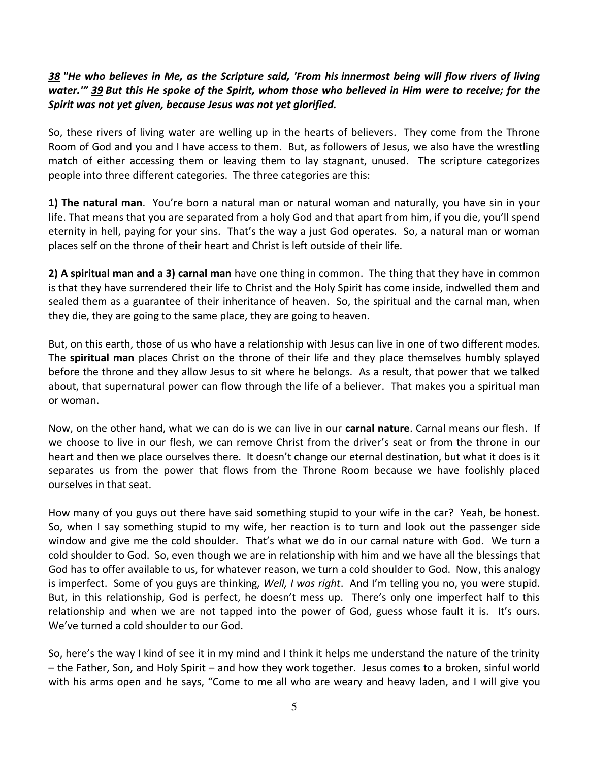## *[38](https://www.studylight.org/desk/?q=joh%207:38&t1=en_nas&sr=1) "He who believes in Me, as the Scripture said, 'From his innermost being will flow rivers of living water.'" [39](https://www.studylight.org/desk/?q=joh%207:39&t1=en_nas&sr=1) But this He spoke of the Spirit, whom those who believed in Him were to receive; for the Spirit was not yet given, because Jesus was not yet glorified.*

So, these rivers of living water are welling up in the hearts of believers. They come from the Throne Room of God and you and I have access to them. But, as followers of Jesus, we also have the wrestling match of either accessing them or leaving them to lay stagnant, unused. The scripture categorizes people into three different categories. The three categories are this:

**1) The natural man**. You're born a natural man or natural woman and naturally, you have sin in your life. That means that you are separated from a holy God and that apart from him, if you die, you'll spend eternity in hell, paying for your sins. That's the way a just God operates. So, a natural man or woman places self on the throne of their heart and Christ is left outside of their life.

**2) A spiritual man and a 3) carnal man** have one thing in common. The thing that they have in common is that they have surrendered their life to Christ and the Holy Spirit has come inside, indwelled them and sealed them as a guarantee of their inheritance of heaven. So, the spiritual and the carnal man, when they die, they are going to the same place, they are going to heaven.

But, on this earth, those of us who have a relationship with Jesus can live in one of two different modes. The **spiritual man** places Christ on the throne of their life and they place themselves humbly splayed before the throne and they allow Jesus to sit where he belongs. As a result, that power that we talked about, that supernatural power can flow through the life of a believer. That makes you a spiritual man or woman.

Now, on the other hand, what we can do is we can live in our **carnal nature**. Carnal means our flesh. If we choose to live in our flesh, we can remove Christ from the driver's seat or from the throne in our heart and then we place ourselves there. It doesn't change our eternal destination, but what it does is it separates us from the power that flows from the Throne Room because we have foolishly placed ourselves in that seat.

How many of you guys out there have said something stupid to your wife in the car? Yeah, be honest. So, when I say something stupid to my wife, her reaction is to turn and look out the passenger side window and give me the cold shoulder. That's what we do in our carnal nature with God. We turn a cold shoulder to God. So, even though we are in relationship with him and we have all the blessings that God has to offer available to us, for whatever reason, we turn a cold shoulder to God. Now, this analogy is imperfect. Some of you guys are thinking, *Well, I was right*. And I'm telling you no, you were stupid. But, in this relationship, God is perfect, he doesn't mess up. There's only one imperfect half to this relationship and when we are not tapped into the power of God, guess whose fault it is. It's ours. We've turned a cold shoulder to our God.

So, here's the way I kind of see it in my mind and I think it helps me understand the nature of the trinity – the Father, Son, and Holy Spirit – and how they work together. Jesus comes to a broken, sinful world with his arms open and he says, "Come to me all who are weary and heavy laden, and I will give you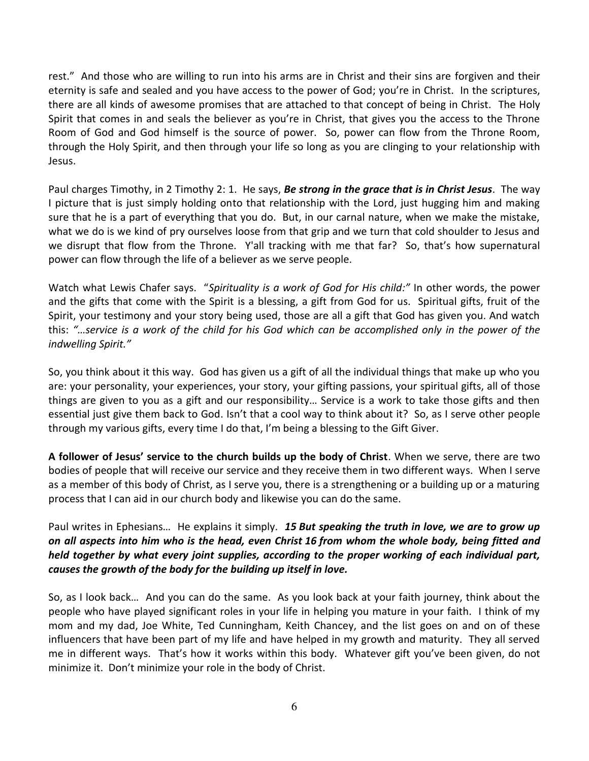rest." And those who are willing to run into his arms are in Christ and their sins are forgiven and their eternity is safe and sealed and you have access to the power of God; you're in Christ. In the scriptures, there are all kinds of awesome promises that are attached to that concept of being in Christ. The Holy Spirit that comes in and seals the believer as you're in Christ, that gives you the access to the Throne Room of God and God himself is the source of power. So, power can flow from the Throne Room, through the Holy Spirit, and then through your life so long as you are clinging to your relationship with Jesus.

Paul charges Timothy, in 2 Timothy 2: 1. He says, *Be strong in the grace that is in Christ Jesus*. The way I picture that is just simply holding onto that relationship with the Lord, just hugging him and making sure that he is a part of everything that you do. But, in our carnal nature, when we make the mistake, what we do is we kind of pry ourselves loose from that grip and we turn that cold shoulder to Jesus and we disrupt that flow from the Throne. Y'all tracking with me that far? So, that's how supernatural power can flow through the life of a believer as we serve people.

Watch what Lewis Chafer says. "*Spirituality is a work of God for His child:"* In other words, the power and the gifts that come with the Spirit is a blessing, a gift from God for us. Spiritual gifts, fruit of the Spirit, your testimony and your story being used, those are all a gift that God has given you. And watch this: *"…service is a work of the child for his God which can be accomplished only in the power of the indwelling Spirit."* 

So, you think about it this way. God has given us a gift of all the individual things that make up who you are: your personality, your experiences, your story, your gifting passions, your spiritual gifts, all of those things are given to you as a gift and our responsibility… Service is a work to take those gifts and then essential just give them back to God. Isn't that a cool way to think about it? So, as I serve other people through my various gifts, every time I do that, I'm being a blessing to the Gift Giver.

**A follower of Jesus' service to the church builds up the body of Christ**. When we serve, there are two bodies of people that will receive our service and they receive them in two different ways. When I serve as a member of this body of Christ, as I serve you, there is a strengthening or a building up or a maturing process that I can aid in our church body and likewise you can do the same.

Paul writes in Ephesians… He explains it simply. *[15](https://www.studylight.org/desk/?q=eph%204:15&t1=en_hcs&sr=1) But speaking the truth in love, we are to grow up on all aspects into him who is the head, even Christ [16](https://www.studylight.org/desk/?q=eph%204:16&t1=en_hcs&sr=1) from whom the whole body, being fitted and held together by what every joint supplies, according to the proper working of each individual part, causes the growth of the body for the building up itself in love.*

So, as I look back… And you can do the same. As you look back at your faith journey, think about the people who have played significant roles in your life in helping you mature in your faith. I think of my mom and my dad, Joe White, Ted Cunningham, Keith Chancey, and the list goes on and on of these influencers that have been part of my life and have helped in my growth and maturity. They all served me in different ways. That's how it works within this body. Whatever gift you've been given, do not minimize it. Don't minimize your role in the body of Christ.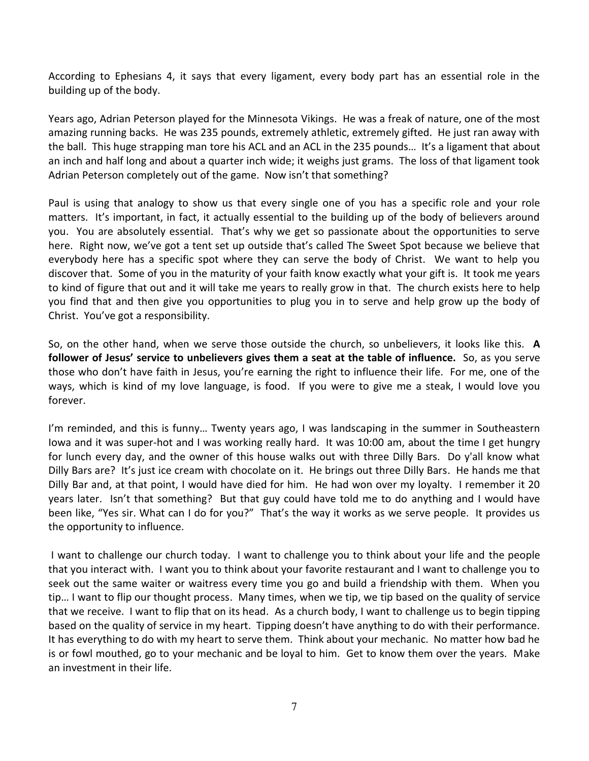According to Ephesians 4, it says that every ligament, every body part has an essential role in the building up of the body.

Years ago, Adrian Peterson played for the Minnesota Vikings. He was a freak of nature, one of the most amazing running backs. He was 235 pounds, extremely athletic, extremely gifted. He just ran away with the ball. This huge strapping man tore his ACL and an ACL in the 235 pounds… It's a ligament that about an inch and half long and about a quarter inch wide; it weighs just grams. The loss of that ligament took Adrian Peterson completely out of the game. Now isn't that something?

Paul is using that analogy to show us that every single one of you has a specific role and your role matters. It's important, in fact, it actually essential to the building up of the body of believers around you. You are absolutely essential. That's why we get so passionate about the opportunities to serve here. Right now, we've got a tent set up outside that's called The Sweet Spot because we believe that everybody here has a specific spot where they can serve the body of Christ. We want to help you discover that. Some of you in the maturity of your faith know exactly what your gift is. It took me years to kind of figure that out and it will take me years to really grow in that. The church exists here to help you find that and then give you opportunities to plug you in to serve and help grow up the body of Christ. You've got a responsibility.

So, on the other hand, when we serve those outside the church, so unbelievers, it looks like this. **A follower of Jesus' service to unbelievers gives them a seat at the table of influence.** So, as you serve those who don't have faith in Jesus, you're earning the right to influence their life. For me, one of the ways, which is kind of my love language, is food. If you were to give me a steak, I would love you forever.

I'm reminded, and this is funny… Twenty years ago, I was landscaping in the summer in Southeastern Iowa and it was super-hot and I was working really hard. It was 10:00 am, about the time I get hungry for lunch every day, and the owner of this house walks out with three Dilly Bars. Do y'all know what Dilly Bars are? It's just ice cream with chocolate on it. He brings out three Dilly Bars. He hands me that Dilly Bar and, at that point, I would have died for him. He had won over my loyalty. I remember it 20 years later. Isn't that something? But that guy could have told me to do anything and I would have been like, "Yes sir. What can I do for you?" That's the way it works as we serve people. It provides us the opportunity to influence.

 I want to challenge our church today. I want to challenge you to think about your life and the people that you interact with. I want you to think about your favorite restaurant and I want to challenge you to seek out the same waiter or waitress every time you go and build a friendship with them. When you tip… I want to flip our thought process. Many times, when we tip, we tip based on the quality of service that we receive. I want to flip that on its head. As a church body, I want to challenge us to begin tipping based on the quality of service in my heart. Tipping doesn't have anything to do with their performance. It has everything to do with my heart to serve them. Think about your mechanic. No matter how bad he is or fowl mouthed, go to your mechanic and be loyal to him. Get to know them over the years. Make an investment in their life.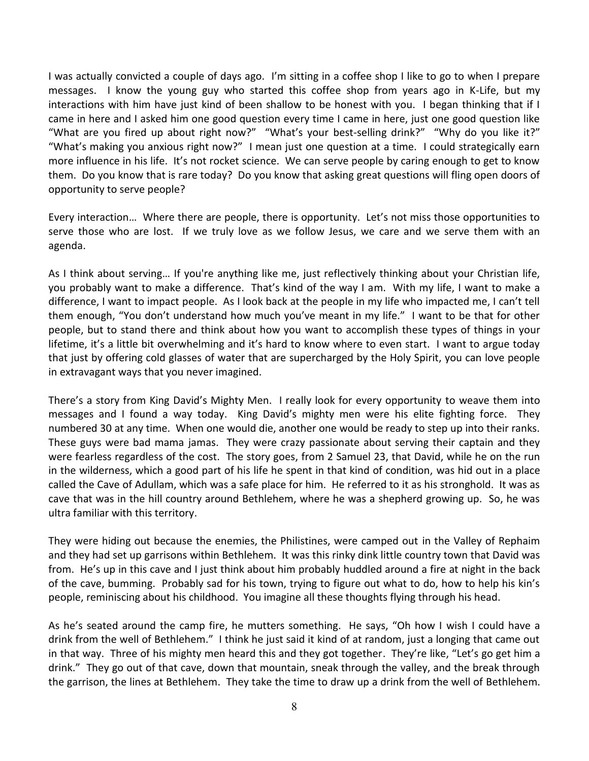I was actually convicted a couple of days ago. I'm sitting in a coffee shop I like to go to when I prepare messages. I know the young guy who started this coffee shop from years ago in K-Life, but my interactions with him have just kind of been shallow to be honest with you. I began thinking that if I came in here and I asked him one good question every time I came in here, just one good question like "What are you fired up about right now?" "What's your best-selling drink?" "Why do you like it?" "What's making you anxious right now?" I mean just one question at a time. I could strategically earn more influence in his life. It's not rocket science. We can serve people by caring enough to get to know them. Do you know that is rare today? Do you know that asking great questions will fling open doors of opportunity to serve people?

Every interaction… Where there are people, there is opportunity. Let's not miss those opportunities to serve those who are lost. If we truly love as we follow Jesus, we care and we serve them with an agenda.

As I think about serving… If you're anything like me, just reflectively thinking about your Christian life, you probably want to make a difference. That's kind of the way I am. With my life, I want to make a difference, I want to impact people. As I look back at the people in my life who impacted me, I can't tell them enough, "You don't understand how much you've meant in my life." I want to be that for other people, but to stand there and think about how you want to accomplish these types of things in your lifetime, it's a little bit overwhelming and it's hard to know where to even start. I want to argue today that just by offering cold glasses of water that are supercharged by the Holy Spirit, you can love people in extravagant ways that you never imagined.

There's a story from King David's Mighty Men. I really look for every opportunity to weave them into messages and I found a way today. King David's mighty men were his elite fighting force. They numbered 30 at any time. When one would die, another one would be ready to step up into their ranks. These guys were bad mama jamas. They were crazy passionate about serving their captain and they were fearless regardless of the cost. The story goes, from 2 Samuel 23, that David, while he on the run in the wilderness, which a good part of his life he spent in that kind of condition, was hid out in a place called the Cave of Adullam, which was a safe place for him. He referred to it as his stronghold. It was as cave that was in the hill country around Bethlehem, where he was a shepherd growing up. So, he was ultra familiar with this territory.

They were hiding out because the enemies, the Philistines, were camped out in the Valley of Rephaim and they had set up garrisons within Bethlehem. It was this rinky dink little country town that David was from. He's up in this cave and I just think about him probably huddled around a fire at night in the back of the cave, bumming. Probably sad for his town, trying to figure out what to do, how to help his kin's people, reminiscing about his childhood. You imagine all these thoughts flying through his head.

As he's seated around the camp fire, he mutters something. He says, "Oh how I wish I could have a drink from the well of Bethlehem." I think he just said it kind of at random, just a longing that came out in that way. Three of his mighty men heard this and they got together. They're like, "Let's go get him a drink." They go out of that cave, down that mountain, sneak through the valley, and the break through the garrison, the lines at Bethlehem. They take the time to draw up a drink from the well of Bethlehem.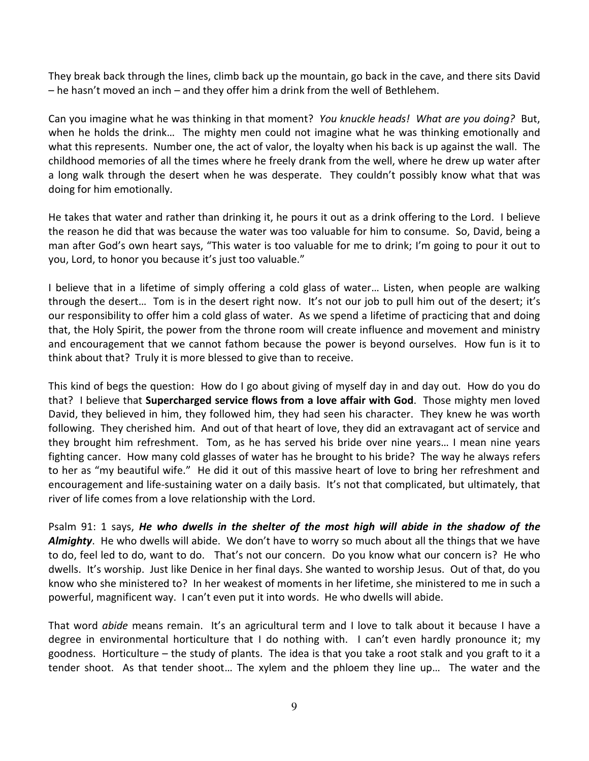They break back through the lines, climb back up the mountain, go back in the cave, and there sits David – he hasn't moved an inch – and they offer him a drink from the well of Bethlehem.

Can you imagine what he was thinking in that moment? *You knuckle heads! What are you doing?* But, when he holds the drink… The mighty men could not imagine what he was thinking emotionally and what this represents. Number one, the act of valor, the loyalty when his back is up against the wall. The childhood memories of all the times where he freely drank from the well, where he drew up water after a long walk through the desert when he was desperate. They couldn't possibly know what that was doing for him emotionally.

He takes that water and rather than drinking it, he pours it out as a drink offering to the Lord. I believe the reason he did that was because the water was too valuable for him to consume. So, David, being a man after God's own heart says, "This water is too valuable for me to drink; I'm going to pour it out to you, Lord, to honor you because it's just too valuable."

I believe that in a lifetime of simply offering a cold glass of water… Listen, when people are walking through the desert… Tom is in the desert right now. It's not our job to pull him out of the desert; it's our responsibility to offer him a cold glass of water. As we spend a lifetime of practicing that and doing that, the Holy Spirit, the power from the throne room will create influence and movement and ministry and encouragement that we cannot fathom because the power is beyond ourselves. How fun is it to think about that? Truly it is more blessed to give than to receive.

This kind of begs the question: How do I go about giving of myself day in and day out. How do you do that? I believe that **Supercharged service flows from a love affair with God**. Those mighty men loved David, they believed in him, they followed him, they had seen his character. They knew he was worth following. They cherished him. And out of that heart of love, they did an extravagant act of service and they brought him refreshment. Tom, as he has served his bride over nine years… I mean nine years fighting cancer. How many cold glasses of water has he brought to his bride? The way he always refers to her as "my beautiful wife." He did it out of this massive heart of love to bring her refreshment and encouragement and life-sustaining water on a daily basis. It's not that complicated, but ultimately, that river of life comes from a love relationship with the Lord.

Psalm 91: 1 says, *He who dwells in the shelter of the most high will abide in the shadow of the Almighty*. He who dwells will abide. We don't have to worry so much about all the things that we have to do, feel led to do, want to do. That's not our concern. Do you know what our concern is? He who dwells. It's worship. Just like Denice in her final days. She wanted to worship Jesus. Out of that, do you know who she ministered to? In her weakest of moments in her lifetime, she ministered to me in such a powerful, magnificent way. I can't even put it into words. He who dwells will abide.

That word *abide* means remain. It's an agricultural term and I love to talk about it because I have a degree in environmental horticulture that I do nothing with. I can't even hardly pronounce it; my goodness. Horticulture – the study of plants. The idea is that you take a root stalk and you graft to it a tender shoot. As that tender shoot… The xylem and the phloem they line up… The water and the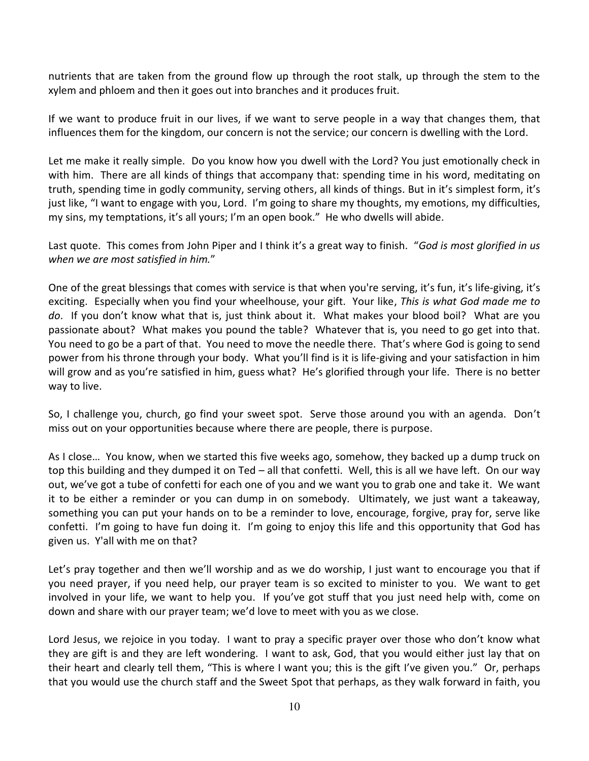nutrients that are taken from the ground flow up through the root stalk, up through the stem to the xylem and phloem and then it goes out into branches and it produces fruit.

If we want to produce fruit in our lives, if we want to serve people in a way that changes them, that influences them for the kingdom, our concern is not the service; our concern is dwelling with the Lord.

Let me make it really simple. Do you know how you dwell with the Lord? You just emotionally check in with him. There are all kinds of things that accompany that: spending time in his word, meditating on truth, spending time in godly community, serving others, all kinds of things. But in it's simplest form, it's just like, "I want to engage with you, Lord. I'm going to share my thoughts, my emotions, my difficulties, my sins, my temptations, it's all yours; I'm an open book." He who dwells will abide.

Last quote. This comes from John Piper and I think it's a great way to finish. "*God is most glorified in us when we are most satisfied in him.*"

One of the great blessings that comes with service is that when you're serving, it's fun, it's life-giving, it's exciting. Especially when you find your wheelhouse, your gift. Your like, *This is what God made me to do*. If you don't know what that is, just think about it. What makes your blood boil? What are you passionate about? What makes you pound the table? Whatever that is, you need to go get into that. You need to go be a part of that. You need to move the needle there. That's where God is going to send power from his throne through your body. What you'll find is it is life-giving and your satisfaction in him will grow and as you're satisfied in him, guess what? He's glorified through your life. There is no better way to live.

So, I challenge you, church, go find your sweet spot. Serve those around you with an agenda. Don't miss out on your opportunities because where there are people, there is purpose.

As I close… You know, when we started this five weeks ago, somehow, they backed up a dump truck on top this building and they dumped it on Ted – all that confetti. Well, this is all we have left. On our way out, we've got a tube of confetti for each one of you and we want you to grab one and take it. We want it to be either a reminder or you can dump in on somebody. Ultimately, we just want a takeaway, something you can put your hands on to be a reminder to love, encourage, forgive, pray for, serve like confetti. I'm going to have fun doing it. I'm going to enjoy this life and this opportunity that God has given us. Y'all with me on that?

Let's pray together and then we'll worship and as we do worship, I just want to encourage you that if you need prayer, if you need help, our prayer team is so excited to minister to you. We want to get involved in your life, we want to help you. If you've got stuff that you just need help with, come on down and share with our prayer team; we'd love to meet with you as we close.

Lord Jesus, we rejoice in you today. I want to pray a specific prayer over those who don't know what they are gift is and they are left wondering. I want to ask, God, that you would either just lay that on their heart and clearly tell them, "This is where I want you; this is the gift I've given you." Or, perhaps that you would use the church staff and the Sweet Spot that perhaps, as they walk forward in faith, you